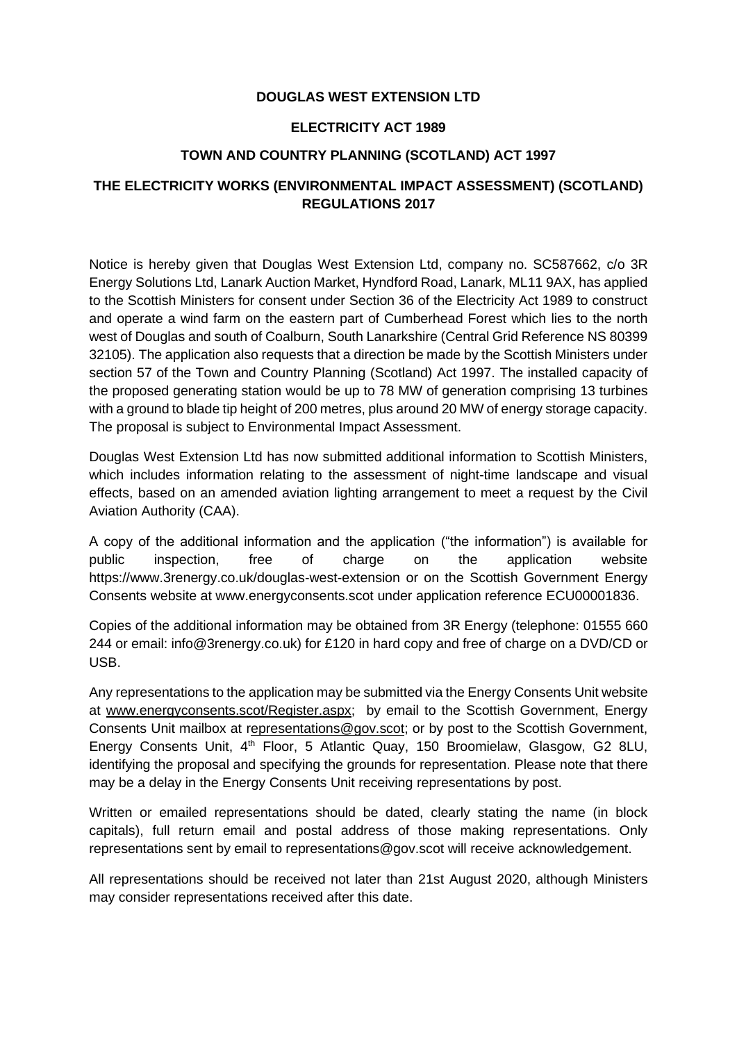### **DOUGLAS WEST EXTENSION LTD**

### **ELECTRICITY ACT 1989**

### **TOWN AND COUNTRY PLANNING (SCOTLAND) ACT 1997**

# **THE ELECTRICITY WORKS (ENVIRONMENTAL IMPACT ASSESSMENT) (SCOTLAND) REGULATIONS 2017**

Notice is hereby given that Douglas West Extension Ltd, company no. SC587662, c/o 3R Energy Solutions Ltd, Lanark Auction Market, Hyndford Road, Lanark, ML11 9AX, has applied to the Scottish Ministers for consent under Section 36 of the Electricity Act 1989 to construct and operate a wind farm on the eastern part of Cumberhead Forest which lies to the north west of Douglas and south of Coalburn, South Lanarkshire (Central Grid Reference NS 80399 32105). The application also requests that a direction be made by the Scottish Ministers under section 57 of the Town and Country Planning (Scotland) Act 1997. The installed capacity of the proposed generating station would be up to 78 MW of generation comprising 13 turbines with a ground to blade tip height of 200 metres, plus around 20 MW of energy storage capacity. The proposal is subject to Environmental Impact Assessment.

Douglas West Extension Ltd has now submitted additional information to Scottish Ministers, which includes information relating to the assessment of night-time landscape and visual effects, based on an amended aviation lighting arrangement to meet a request by the Civil Aviation Authority (CAA).

A copy of the additional information and the application ("the information") is available for public inspection, free of charge on the application website https://www.3renergy.co.uk/douglas-west-extension or on the Scottish Government Energy Consents website at [www.energyconsents.scot](http://www.energyconsents.scot/) under application reference ECU00001836.

Copies of the additional information may be obtained from 3R Energy (telephone: 01555 660 244 or email: info@3renergy.co.uk) for £120 in hard copy and free of charge on a DVD/CD or USB.

Any representations to the application may be submitted via the Energy Consents Unit website at [www.energyconsents.scot/Register.aspx;](http://www.energyconsents.scot/Register.aspx) by email to the Scottish Government, Energy Consents Unit mailbox at [representations@gov.scot;](mailto:representations@gov.scot) or by post to the Scottish Government, Energy Consents Unit, 4<sup>th</sup> Floor, 5 Atlantic Quay, 150 Broomielaw, Glasgow, G2 8LU, identifying the proposal and specifying the grounds for representation. Please note that there may be a delay in the Energy Consents Unit receiving representations by post.

Written or emailed representations should be dated, clearly stating the name (in block capitals), full return email and postal address of those making representations. Only representations sent by email to representations@gov.scot will receive acknowledgement.

All representations should be received not later than 21st August 2020, although Ministers may consider representations received after this date.